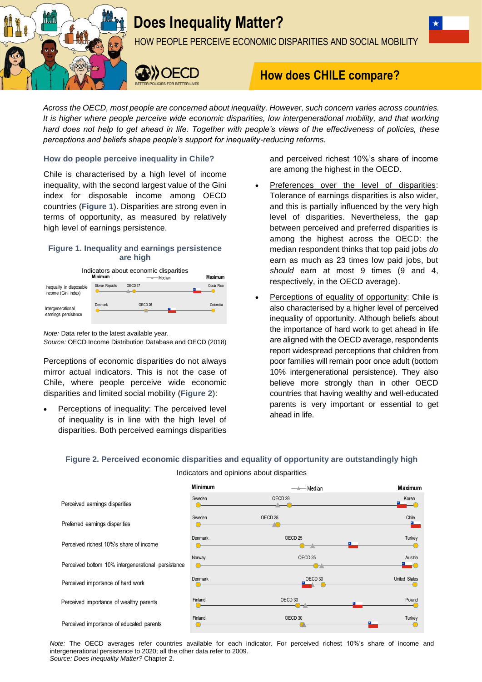

# **Does Inequality Matter?**

HOW PEOPLE PERCEIVE ECONOMIC DISPARITIES AND SOCIAL MOBILITY



# **How does CHILE compare?**

*Across the OECD, most people are concerned about inequality. However, such concern varies across countries. It is higher where people perceive wide economic disparities, low intergenerational mobility, and that working hard does not help to get ahead in life. Together with people's views of the effectiveness of policies, these perceptions and beliefs shape people's support for inequality-reducing reforms.*

## **How do people perceive inequality in Chile?**

Chile is characterised by a high level of income inequality, with the second largest value of the Gini index for disposable income among OECD countries (**Figure 1**). Disparities are strong even in terms of opportunity, as measured by relatively high level of earnings persistence.

# **Figure 1. Inequality and earnings persistence are high**



*Note:* Data refer to the latest available year.

*Source:* OECD Income Distribution Database and OECD (2018)

Perceptions of economic disparities do not always mirror actual indicators. This is not the case of Chile, where people perceive wide economic disparities and limited social mobility (**Figure 2**):

 Perceptions of inequality: The perceived level of inequality is in line with the high level of disparities. Both perceived earnings disparities and perceived richest 10%'s share of income are among the highest in the OECD.

- Preferences over the level of disparities: Tolerance of earnings disparities is also wider, and this is partially influenced by the very high level of disparities. Nevertheless, the gap between perceived and preferred disparities is among the highest across the OECD: the median respondent thinks that top paid jobs *do* earn as much as 23 times low paid jobs, but *should* earn at most 9 times (9 and 4, respectively, in the OECD average).
- Perceptions of equality of opportunity: Chile is also characterised by a higher level of perceived inequality of opportunity. Although beliefs about the importance of hard work to get ahead in life are aligned with the OECD average, respondents report widespread perceptions that children from poor families will remain poor once adult (bottom 10% intergenerational persistence). They also believe more strongly than in other OECD countries that having wealthy and well-educated parents is very important or essential to get ahead in life.

# **Figure 2. Perceived economic disparities and equality of opportunity are outstandingly high**

Indicators and opinions about disparities

|                                                    | <b>Minimum</b> | — <del>—</del> Median | <b>Maximum</b> |
|----------------------------------------------------|----------------|-----------------------|----------------|
| Perceived earnings disparities                     | Sweden         | OECD <sub>28</sub>    | Korea          |
| Preferred earnings disparities                     | Sweden         | OECD <sub>28</sub>    | Chile          |
| Perceived richest 10%'s share of income            | <b>Denmark</b> | OECD <sub>25</sub>    | Turkey         |
| Perceived bottom 10% intergenerational persistence | Norway         | OECD <sub>25</sub>    | Austria        |
| Perceived importance of hard work                  | <b>Denmark</b> | OECD 30               | United States  |
| Perceived importance of wealthy parents            | Finland        | OECD 30               | Poland         |
| Perceived importance of educated parents           | Finland        | OECD 30               | Turkey         |

*Note:* The OECD averages refer countries available for each indicator. For perceived richest 10%'s share of income and intergenerational persistence to 2020; all the other data refer to 2009. *Source: Does Inequality Matter?* Chapter 2.